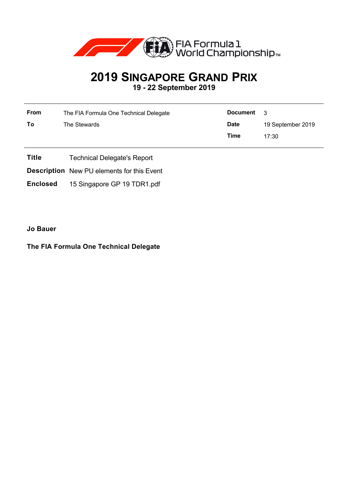

## **2019 SINGAPORE GRAND PRIX 19 - 22 September 2019**

| From | The FIA Formula One Technical Delegate | <b>Document</b> | - 3               |  |
|------|----------------------------------------|-----------------|-------------------|--|
| To   | The Stewards                           | <b>Date</b>     | 19 September 2019 |  |
|      |                                        | Time            | 17:30             |  |

- **Title** Technical Delegate's Report
- **Description** New PU elements for this Event
- **Enclosed** 15 Singapore GP 19 TDR1.pdf

**Jo Bauer**

## **The FIA Formula One Technical Delegate**